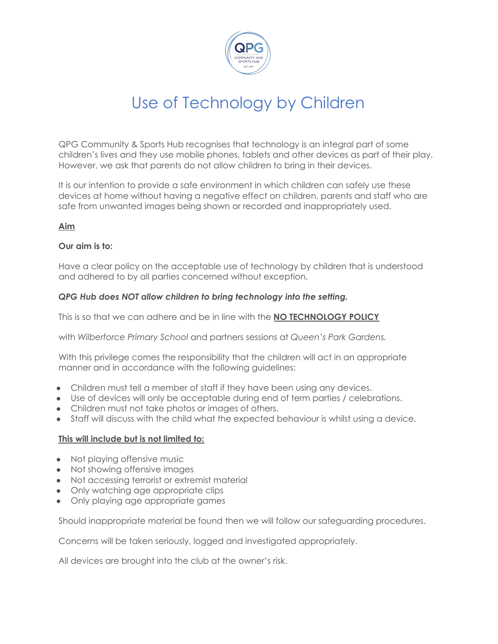

# Use of Technology by Children

QPG Community & Sports Hub recognises that technology is an integral part of some children's lives and they use mobile phones, tablets and other devices as part of their play. However, we ask that parents do not allow children to bring in their devices.

It is our intention to provide a safe environment in which children can safely use these devices at home without having a negative effect on children, parents and staff who are safe from unwanted images being shown or recorded and inappropriately used.

### **Aim**

#### **Our aim is to:**

Have a clear policy on the acceptable use of technology by children that is understood and adhered to by all parties concerned without exception.

#### *QPG Hub does NOT allow children to bring technology into the setting.*

This is so that we can adhere and be in line with the **NO TECHNOLOGY POLICY**

with *Wilberforce Primary School* and partners sessions at *Queen's Park Gardens.*

With this privilege comes the responsibility that the children will act in an appropriate manner and in accordance with the following guidelines:

- Children must tell a member of staff if they have been using any devices.
- Use of devices will only be acceptable during end of term parties / celebrations.
- Children must not take photos or images of others.
- Staff will discuss with the child what the expected behaviour is whilst using a device.

#### **This will include but is not limited to:**

- Not playing offensive music
- Not showing offensive images
- Not accessing terrorist or extremist material
- Only watching age appropriate clips
- Only playing age appropriate games

Should inappropriate material be found then we will follow our safeguarding procedures.

Concerns will be taken seriously, logged and investigated appropriately.

All devices are brought into the club at the owner's risk.